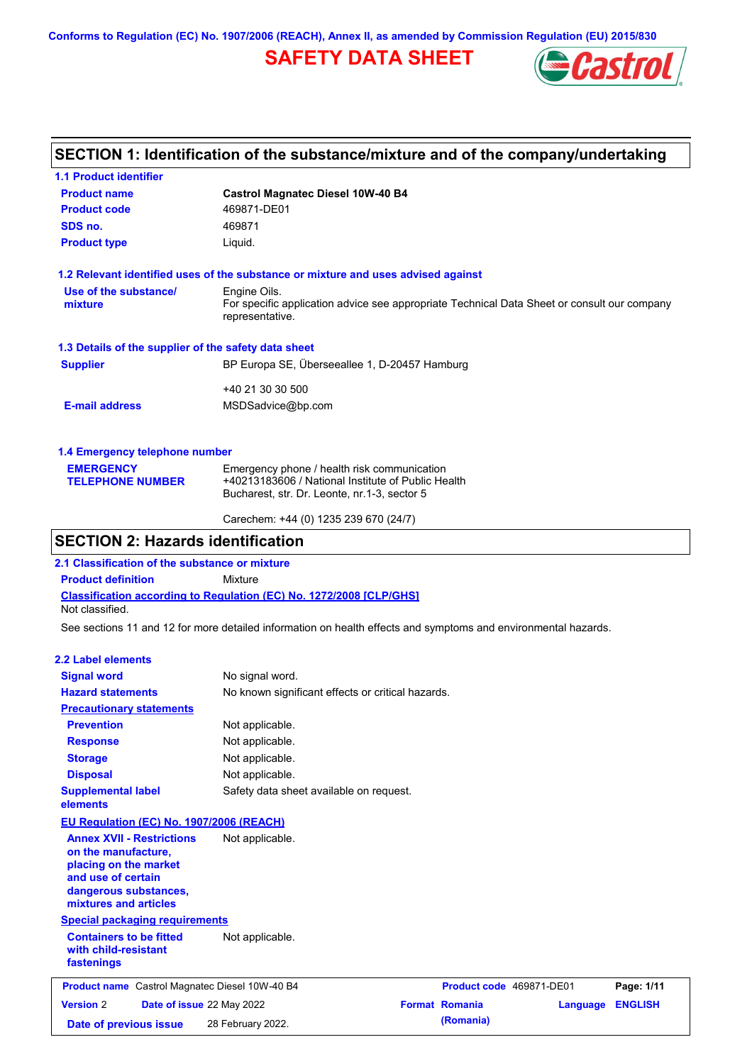**Conforms to Regulation (EC) No. 1907/2006 (REACH), Annex II, as amended by Commission Regulation (EU) 2015/830**

## **SAFETY DATA SHEET**



## **SECTION 1: Identification of the substance/mixture and of the company/undertaking**

| <b>1.1 Product identifier</b>                        |                                                                                                                |  |  |  |
|------------------------------------------------------|----------------------------------------------------------------------------------------------------------------|--|--|--|
| <b>Product name</b>                                  | <b>Castrol Magnatec Diesel 10W-40 B4</b>                                                                       |  |  |  |
| <b>Product code</b>                                  | 469871-DE01                                                                                                    |  |  |  |
| SDS no.                                              | 469871                                                                                                         |  |  |  |
| <b>Product type</b>                                  | Liquid.                                                                                                        |  |  |  |
|                                                      | 1.2 Relevant identified uses of the substance or mixture and uses advised against                              |  |  |  |
| Use of the substance/                                | Engine Oils.                                                                                                   |  |  |  |
| mixture                                              | For specific application advice see appropriate Technical Data Sheet or consult our company<br>representative. |  |  |  |
| 1.3 Details of the supplier of the safety data sheet |                                                                                                                |  |  |  |
| <b>Supplier</b>                                      | BP Europa SE, Überseeallee 1, D-20457 Hamburg                                                                  |  |  |  |
|                                                      | +40 21 30 30 500                                                                                               |  |  |  |
| <b>E-mail address</b>                                | MSDSadvice@bp.com                                                                                              |  |  |  |
| 1.4 Emergency telephone number                       |                                                                                                                |  |  |  |
| <b>EMERGENCY</b>                                     | Emergency phone / health risk communication                                                                    |  |  |  |
| <b>TELEPHONE NUMBER</b>                              | +40213183606 / National Institute of Public Health                                                             |  |  |  |
|                                                      | Bucharest, str. Dr. Leonte, nr.1-3, sector 5                                                                   |  |  |  |

# Carechem: +44 (0) 1235 239 670 (24/7)

## **SECTION 2: Hazards identification**

**2.1 Classification of the substance or mixture**

**Product definition** Mixture

**Classification according to Regulation (EC) No. 1272/2008 [CLP/GHS]** Not classified.

See sections 11 and 12 for more detailed information on health effects and symptoms and environmental hazards.

#### **2.2 Label elements**

| <b>Signal word</b>                                                                                                                                       | No signal word.                                   |                       |                          |                |
|----------------------------------------------------------------------------------------------------------------------------------------------------------|---------------------------------------------------|-----------------------|--------------------------|----------------|
| <b>Hazard statements</b>                                                                                                                                 | No known significant effects or critical hazards. |                       |                          |                |
| <b>Precautionary statements</b>                                                                                                                          |                                                   |                       |                          |                |
| <b>Prevention</b>                                                                                                                                        | Not applicable.                                   |                       |                          |                |
| <b>Response</b>                                                                                                                                          | Not applicable.                                   |                       |                          |                |
| <b>Storage</b>                                                                                                                                           | Not applicable.                                   |                       |                          |                |
| <b>Disposal</b>                                                                                                                                          | Not applicable.                                   |                       |                          |                |
| <b>Supplemental label</b><br>elements                                                                                                                    | Safety data sheet available on request.           |                       |                          |                |
| <b>EU Regulation (EC) No. 1907/2006 (REACH)</b>                                                                                                          |                                                   |                       |                          |                |
| <b>Annex XVII - Restrictions</b><br>on the manufacture,<br>placing on the market<br>and use of certain<br>dangerous substances,<br>mixtures and articles | Not applicable.                                   |                       |                          |                |
| <b>Special packaging requirements</b>                                                                                                                    |                                                   |                       |                          |                |
| <b>Containers to be fitted</b><br>with child-resistant<br>fastenings                                                                                     | Not applicable.                                   |                       |                          |                |
| <b>Product name</b> Castrol Magnatec Diesel 10W-40 B4                                                                                                    |                                                   |                       | Product code 469871-DE01 | Page: 1/11     |
| <b>Version 2</b><br>Date of issue 22 May 2022                                                                                                            |                                                   | <b>Format Romania</b> | Language                 | <b>ENGLISH</b> |
| Date of previous issue                                                                                                                                   | 28 February 2022.                                 | (Romania)             |                          |                |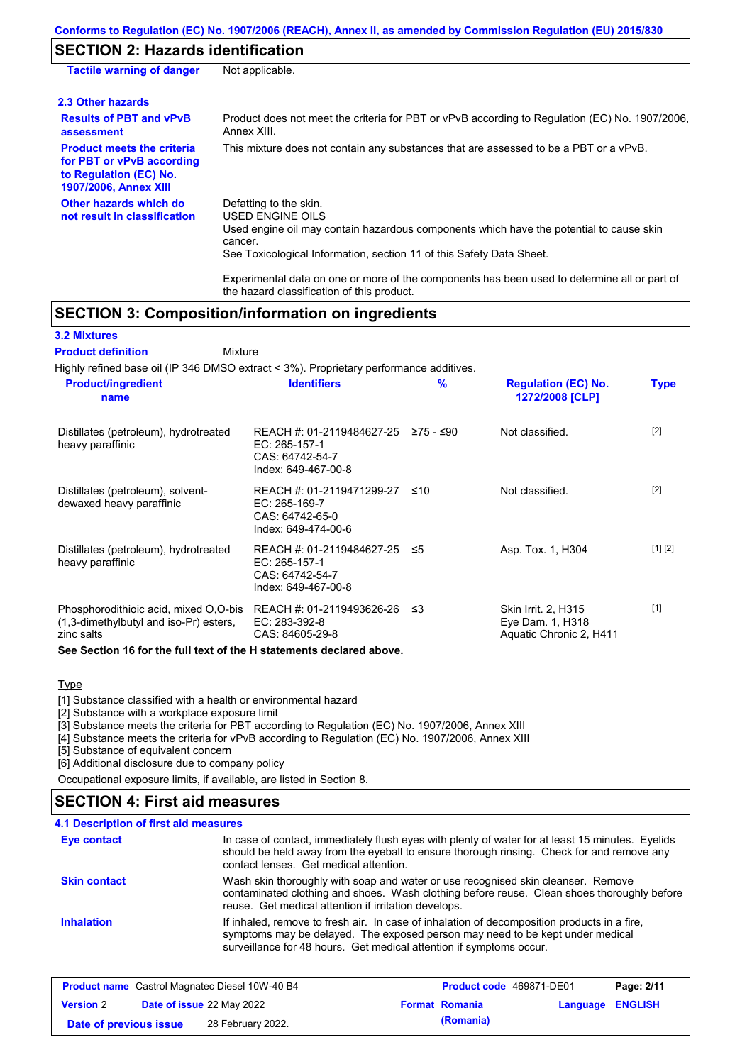## **SECTION 2: Hazards identification**

| <b>Tactile warning of danger</b>                                                                                         | Not applicable.                                                                                                                                                                                                          |
|--------------------------------------------------------------------------------------------------------------------------|--------------------------------------------------------------------------------------------------------------------------------------------------------------------------------------------------------------------------|
| 2.3 Other hazards                                                                                                        |                                                                                                                                                                                                                          |
| <b>Results of PBT and vPvB</b><br>assessment                                                                             | Product does not meet the criteria for PBT or vPvB according to Regulation (EC) No. 1907/2006,<br>Annex XIII.                                                                                                            |
| <b>Product meets the criteria</b><br>for PBT or vPvB according<br>to Regulation (EC) No.<br><b>1907/2006, Annex XIII</b> | This mixture does not contain any substances that are assessed to be a PBT or a vPvB.                                                                                                                                    |
| Other hazards which do<br>not result in classification                                                                   | Defatting to the skin.<br>USED ENGINE OILS<br>Used engine oil may contain hazardous components which have the potential to cause skin<br>cancer.<br>See Toxicological Information, section 11 of this Safety Data Sheet. |

Experimental data on one or more of the components has been used to determine all or part of the hazard classification of this product.

## **SECTION 3: Composition/information on ingredients**

Mixture

### **3.2 Mixtures**

**Product definition**

Highly refined base oil (IP 346 DMSO extract < 3%). Proprietary performance additives.

| <b>Product/ingredient</b><br>name                                                             | <b>Identifiers</b>                                                                   | %         | <b>Regulation (EC) No.</b><br>1272/2008 [CLP]                             | Type    |
|-----------------------------------------------------------------------------------------------|--------------------------------------------------------------------------------------|-----------|---------------------------------------------------------------------------|---------|
| Distillates (petroleum), hydrotreated<br>heavy paraffinic                                     | REACH #: 01-2119484627-25<br>EC: 265-157-1<br>CAS: 64742-54-7<br>Index: 649-467-00-8 | ≥75 - ≤90 | Not classified.                                                           | $[2]$   |
| Distillates (petroleum), solvent-<br>dewaxed heavy paraffinic                                 | REACH #: 01-2119471299-27<br>EC: 265-169-7<br>CAS: 64742-65-0<br>Index: 649-474-00-6 | ≤10       | Not classified.                                                           | $[2]$   |
| Distillates (petroleum), hydrotreated<br>heavy paraffinic                                     | REACH #: 01-2119484627-25<br>EC: 265-157-1<br>CAS: 64742-54-7<br>Index: 649-467-00-8 | ≤5        | Asp. Tox. 1, H304                                                         | [1] [2] |
| Phosphorodithioic acid, mixed O.O-bis<br>(1,3-dimethylbutyl and iso-Pr) esters,<br>zinc salts | REACH #: 01-2119493626-26<br>EC: 283-392-8<br>CAS: 84605-29-8                        | ו≥ ≤      | <b>Skin Irrit. 2, H315</b><br>Eye Dam. 1, H318<br>Aquatic Chronic 2, H411 | $[1]$   |
| See Section 16 for the full text of the H statements declared above.                          |                                                                                      |           |                                                                           |         |

### **Type**

[1] Substance classified with a health or environmental hazard

[2] Substance with a workplace exposure limit

[3] Substance meets the criteria for PBT according to Regulation (EC) No. 1907/2006, Annex XIII

[4] Substance meets the criteria for vPvB according to Regulation (EC) No. 1907/2006, Annex XIII

[5] Substance of equivalent concern

[6] Additional disclosure due to company policy

Occupational exposure limits, if available, are listed in Section 8.

# **SECTION 4: First aid measures**

#### In case of contact, immediately flush eyes with plenty of water for at least 15 minutes. Eyelids should be held away from the eyeball to ensure thorough rinsing. Check for and remove any contact lenses. Get medical attention. **4.1 Description of first aid measures** If inhaled, remove to fresh air. In case of inhalation of decomposition products in a fire, symptoms may be delayed. The exposed person may need to be kept under medical surveillance for 48 hours. Get medical attention if symptoms occur. **Inhalation Eye contact Skin contact** Wash skin thoroughly with soap and water or use recognised skin cleanser. Remove contaminated clothing and shoes. Wash clothing before reuse. Clean shoes thoroughly before reuse. Get medical attention if irritation develops.

| <b>Product name</b> Castrol Magnatec Diesel 10W-40 B4 |  | Product code 469871-DE01         |  | Page: 2/11            |                         |  |
|-------------------------------------------------------|--|----------------------------------|--|-----------------------|-------------------------|--|
| <b>Version 2</b>                                      |  | <b>Date of issue 22 May 2022</b> |  | <b>Format Romania</b> | <b>Language ENGLISH</b> |  |
| Date of previous issue                                |  | 28 February 2022.                |  | (Romania)             |                         |  |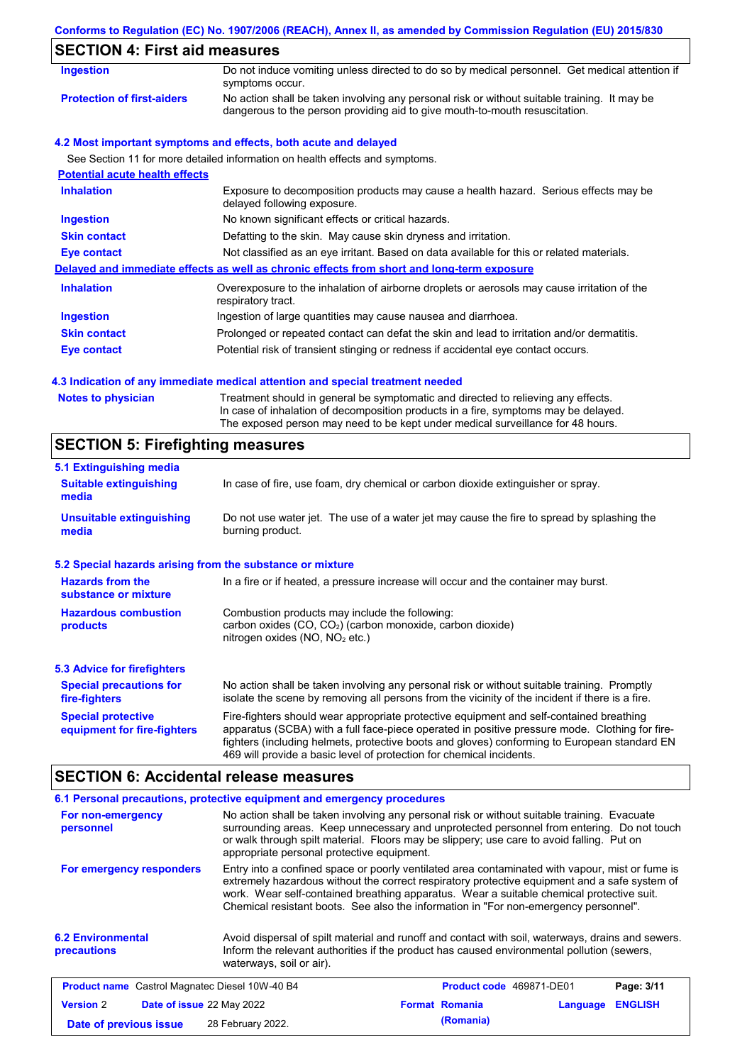## **Conforms to Regulation (EC) No. 1907/2006 (REACH), Annex II, as amended by Commission Regulation (EU) 2015/830**

| <b>Ingestion</b>                      | Do not induce vomiting unless directed to do so by medical personnel. Get medical attention if<br>symptoms occur.                                                           |
|---------------------------------------|-----------------------------------------------------------------------------------------------------------------------------------------------------------------------------|
| <b>Protection of first-aiders</b>     | No action shall be taken involving any personal risk or without suitable training. It may be<br>dangerous to the person providing aid to give mouth-to-mouth resuscitation. |
|                                       | 4.2 Most important symptoms and effects, both acute and delayed                                                                                                             |
|                                       | See Section 11 for more detailed information on health effects and symptoms.                                                                                                |
| <b>Potential acute health effects</b> |                                                                                                                                                                             |
| <b>Inhalation</b>                     | Exposure to decomposition products may cause a health hazard. Serious effects may be<br>delayed following exposure.                                                         |
| <b>Ingestion</b>                      | No known significant effects or critical hazards.                                                                                                                           |
| <b>Skin contact</b>                   | Defatting to the skin. May cause skin dryness and irritation.                                                                                                               |
| <b>Eye contact</b>                    | Not classified as an eye irritant. Based on data available for this or related materials.                                                                                   |
|                                       | Delayed and immediate effects as well as chronic effects from short and long-term exposure                                                                                  |
| <b>Inhalation</b>                     | Overexposure to the inhalation of airborne droplets or aerosols may cause irritation of the<br>respiratory tract.                                                           |
| <b>Ingestion</b>                      | Ingestion of large quantities may cause nausea and diarrhoea.                                                                                                               |
| <b>Skin contact</b>                   | Prolonged or repeated contact can defat the skin and lead to irritation and/or dermatitis.                                                                                  |
| Eye contact                           | Potential risk of transient stinging or redness if accidental eye contact occurs.                                                                                           |

### **4.3 Indication of any immediate medical attention and special treatment needed**

| <b>Notes to physician</b> | Treatment should in general be symptomatic and directed to relieving any effects.<br>In case of inhalation of decomposition products in a fire, symptoms may be delayed. |
|---------------------------|--------------------------------------------------------------------------------------------------------------------------------------------------------------------------|
|                           | The exposed person may need to be kept under medical surveillance for 48 hours.                                                                                          |

# **SECTION 5: Firefighting measures**

| 5.1 Extinguishing media                                   |                                                                                                                                                                                                                                                                                                                                                                   |
|-----------------------------------------------------------|-------------------------------------------------------------------------------------------------------------------------------------------------------------------------------------------------------------------------------------------------------------------------------------------------------------------------------------------------------------------|
| <b>Suitable extinguishing</b><br>media                    | In case of fire, use foam, dry chemical or carbon dioxide extinguisher or spray.                                                                                                                                                                                                                                                                                  |
| <b>Unsuitable extinguishing</b><br>media                  | Do not use water jet. The use of a water jet may cause the fire to spread by splashing the<br>burning product.                                                                                                                                                                                                                                                    |
| 5.2 Special hazards arising from the substance or mixture |                                                                                                                                                                                                                                                                                                                                                                   |
| <b>Hazards from the</b><br>substance or mixture           | In a fire or if heated, a pressure increase will occur and the container may burst.                                                                                                                                                                                                                                                                               |
| <b>Hazardous combustion</b><br>products                   | Combustion products may include the following:<br>carbon oxides (CO, CO <sub>2</sub> ) (carbon monoxide, carbon dioxide)<br>nitrogen oxides ( $NO$ , $NO2$ etc.)                                                                                                                                                                                                  |
| 5.3 Advice for firefighters                               |                                                                                                                                                                                                                                                                                                                                                                   |
| <b>Special precautions for</b><br>fire-fighters           | No action shall be taken involving any personal risk or without suitable training. Promptly<br>isolate the scene by removing all persons from the vicinity of the incident if there is a fire.                                                                                                                                                                    |
| <b>Special protective</b><br>equipment for fire-fighters  | Fire-fighters should wear appropriate protective equipment and self-contained breathing<br>apparatus (SCBA) with a full face-piece operated in positive pressure mode. Clothing for fire-<br>fighters (including helmets, protective boots and gloves) conforming to European standard EN<br>469 will provide a basic level of protection for chemical incidents. |

## **SECTION 6: Accidental release measures**

|                                                       | 6.1 Personal precautions, protective equipment and emergency procedures |                                                                                                                                                                                                                                                                                                                                                                                      |          |                |
|-------------------------------------------------------|-------------------------------------------------------------------------|--------------------------------------------------------------------------------------------------------------------------------------------------------------------------------------------------------------------------------------------------------------------------------------------------------------------------------------------------------------------------------------|----------|----------------|
| For non-emergency<br>personnel                        | appropriate personal protective equipment.                              | No action shall be taken involving any personal risk or without suitable training. Evacuate<br>surrounding areas. Keep unnecessary and unprotected personnel from entering. Do not touch<br>or walk through spilt material. Floors may be slippery; use care to avoid falling. Put on                                                                                                |          |                |
| For emergency responders                              |                                                                         | Entry into a confined space or poorly ventilated area contaminated with vapour, mist or fume is<br>extremely hazardous without the correct respiratory protective equipment and a safe system of<br>work. Wear self-contained breathing apparatus. Wear a suitable chemical protective suit.<br>Chemical resistant boots. See also the information in "For non-emergency personnel". |          |                |
| <b>6.2 Environmental</b><br>precautions               | waterways, soil or air).                                                | Avoid dispersal of spilt material and runoff and contact with soil, waterways, drains and sewers.<br>Inform the relevant authorities if the product has caused environmental pollution (sewers,                                                                                                                                                                                      |          |                |
| <b>Product name</b> Castrol Magnatec Diesel 10W-40 B4 |                                                                         | <b>Product code</b> 469871-DE01                                                                                                                                                                                                                                                                                                                                                      |          | Page: 3/11     |
| <b>Version 2</b><br><b>Date of issue 22 May 2022</b>  |                                                                         | <b>Format Romania</b>                                                                                                                                                                                                                                                                                                                                                                | Language | <b>ENGLISH</b> |
| Date of previous issue                                | 28 February 2022.                                                       | (Romania)                                                                                                                                                                                                                                                                                                                                                                            |          |                |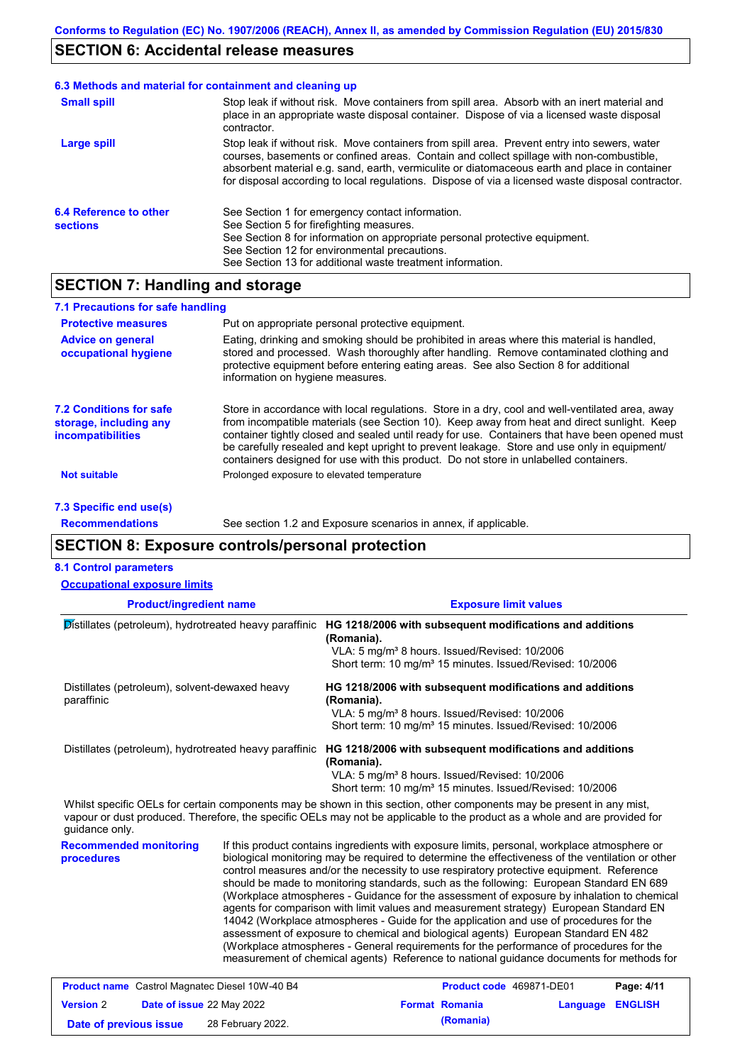## **SECTION 6: Accidental release measures**

#### Stop leak if without risk. Move containers from spill area. Prevent entry into sewers, water courses, basements or confined areas. Contain and collect spillage with non-combustible, absorbent material e.g. sand, earth, vermiculite or diatomaceous earth and place in container for disposal according to local regulations. Dispose of via a licensed waste disposal contractor. **Large spill** Stop leak if without risk. Move containers from spill area. Absorb with an inert material and place in an appropriate waste disposal container. Dispose of via a licensed waste disposal contractor. **Small spill 6.3 Methods and material for containment and cleaning up 6.4 Reference to other sections** See Section 1 for emergency contact information. See Section 5 for firefighting measures. See Section 8 for information on appropriate personal protective equipment. See Section 12 for environmental precautions. See Section 13 for additional waste treatment information.

## **SECTION 7: Handling and storage**

| 7.1 Precautions for safe handling                                             |                                                                                                                                                                                                                                                                                                                                                                                                                                                                                          |
|-------------------------------------------------------------------------------|------------------------------------------------------------------------------------------------------------------------------------------------------------------------------------------------------------------------------------------------------------------------------------------------------------------------------------------------------------------------------------------------------------------------------------------------------------------------------------------|
| <b>Protective measures</b>                                                    | Put on appropriate personal protective equipment.                                                                                                                                                                                                                                                                                                                                                                                                                                        |
| <b>Advice on general</b><br>occupational hygiene                              | Eating, drinking and smoking should be prohibited in areas where this material is handled,<br>stored and processed. Wash thoroughly after handling. Remove contaminated clothing and<br>protective equipment before entering eating areas. See also Section 8 for additional<br>information on hygiene measures.                                                                                                                                                                         |
| <b>7.2 Conditions for safe</b><br>storage, including any<br>incompatibilities | Store in accordance with local requlations. Store in a dry, cool and well-ventilated area, away<br>from incompatible materials (see Section 10). Keep away from heat and direct sunlight. Keep<br>container tightly closed and sealed until ready for use. Containers that have been opened must<br>be carefully resealed and kept upright to prevent leakage. Store and use only in equipment/<br>containers designed for use with this product. Do not store in unlabelled containers. |
| Not suitable                                                                  | Prolonged exposure to elevated temperature                                                                                                                                                                                                                                                                                                                                                                                                                                               |

**7.3 Specific end use(s) Recommendations**

See section 1.2 and Exposure scenarios in annex, if applicable.

## **SECTION 8: Exposure controls/personal protection**

**Date of previous issue (Romania)** 28 February 2022.

#### **8.1 Control parameters**

| <b>Occupational exposure limits</b>                                                                                                                                                                                                                                    |  |                                                                                                                                                                                                                                             |                                                                                                                                                                                                                                                                                                                                                                                                                                                                                                                                                                                                                                                                                                                                                                                                                                                                                                                                                        |          |                                                              |
|------------------------------------------------------------------------------------------------------------------------------------------------------------------------------------------------------------------------------------------------------------------------|--|---------------------------------------------------------------------------------------------------------------------------------------------------------------------------------------------------------------------------------------------|--------------------------------------------------------------------------------------------------------------------------------------------------------------------------------------------------------------------------------------------------------------------------------------------------------------------------------------------------------------------------------------------------------------------------------------------------------------------------------------------------------------------------------------------------------------------------------------------------------------------------------------------------------------------------------------------------------------------------------------------------------------------------------------------------------------------------------------------------------------------------------------------------------------------------------------------------------|----------|--------------------------------------------------------------|
| <b>Product/ingredient name</b><br>Distillates (petroleum), hydrotreated heavy paraffinic                                                                                                                                                                               |  | <b>Exposure limit values</b><br>HG 1218/2006 with subsequent modifications and additions<br>(Romania).<br>VLA: 5 mg/m <sup>3</sup> 8 hours. Issued/Revised: 10/2006<br>Short term: 10 mg/m <sup>3</sup> 15 minutes. Issued/Revised: 10/2006 |                                                                                                                                                                                                                                                                                                                                                                                                                                                                                                                                                                                                                                                                                                                                                                                                                                                                                                                                                        |          |                                                              |
|                                                                                                                                                                                                                                                                        |  |                                                                                                                                                                                                                                             |                                                                                                                                                                                                                                                                                                                                                                                                                                                                                                                                                                                                                                                                                                                                                                                                                                                                                                                                                        |          | Distillates (petroleum), solvent-dewaxed heavy<br>paraffinic |
| Distillates (petroleum), hydrotreated heavy paraffinic                                                                                                                                                                                                                 |  | (Romania).                                                                                                                                                                                                                                  | HG 1218/2006 with subsequent modifications and additions<br>VLA: 5 mg/m <sup>3</sup> 8 hours. Issued/Revised: 10/2006<br>Short term: 10 mg/m <sup>3</sup> 15 minutes. Issued/Revised: 10/2006                                                                                                                                                                                                                                                                                                                                                                                                                                                                                                                                                                                                                                                                                                                                                          |          |                                                              |
| Whilst specific OELs for certain components may be shown in this section, other components may be present in any mist,<br>vapour or dust produced. Therefore, the specific OELs may not be applicable to the product as a whole and are provided for<br>quidance only. |  |                                                                                                                                                                                                                                             |                                                                                                                                                                                                                                                                                                                                                                                                                                                                                                                                                                                                                                                                                                                                                                                                                                                                                                                                                        |          |                                                              |
| <b>Recommended monitoring</b><br>procedures                                                                                                                                                                                                                            |  |                                                                                                                                                                                                                                             | If this product contains ingredients with exposure limits, personal, workplace atmosphere or<br>biological monitoring may be required to determine the effectiveness of the ventilation or other<br>control measures and/or the necessity to use respiratory protective equipment. Reference<br>should be made to monitoring standards, such as the following: European Standard EN 689<br>(Workplace atmospheres - Guidance for the assessment of exposure by inhalation to chemical<br>agents for comparison with limit values and measurement strategy) European Standard EN<br>14042 (Workplace atmospheres - Guide for the application and use of procedures for the<br>assessment of exposure to chemical and biological agents) European Standard EN 482<br>(Workplace atmospheres - General requirements for the performance of procedures for the<br>measurement of chemical agents) Reference to national guidance documents for methods for |          |                                                              |
| <b>Product name</b> Castrol Magnatec Diesel 10W-40 B4                                                                                                                                                                                                                  |  |                                                                                                                                                                                                                                             | Product code 469871-DE01                                                                                                                                                                                                                                                                                                                                                                                                                                                                                                                                                                                                                                                                                                                                                                                                                                                                                                                               |          | Page: 4/11                                                   |
| Date of issue 22 May 2022<br><b>Version 2</b>                                                                                                                                                                                                                          |  |                                                                                                                                                                                                                                             | <b>Format Romania</b>                                                                                                                                                                                                                                                                                                                                                                                                                                                                                                                                                                                                                                                                                                                                                                                                                                                                                                                                  | Language | <b>ENGLISH</b>                                               |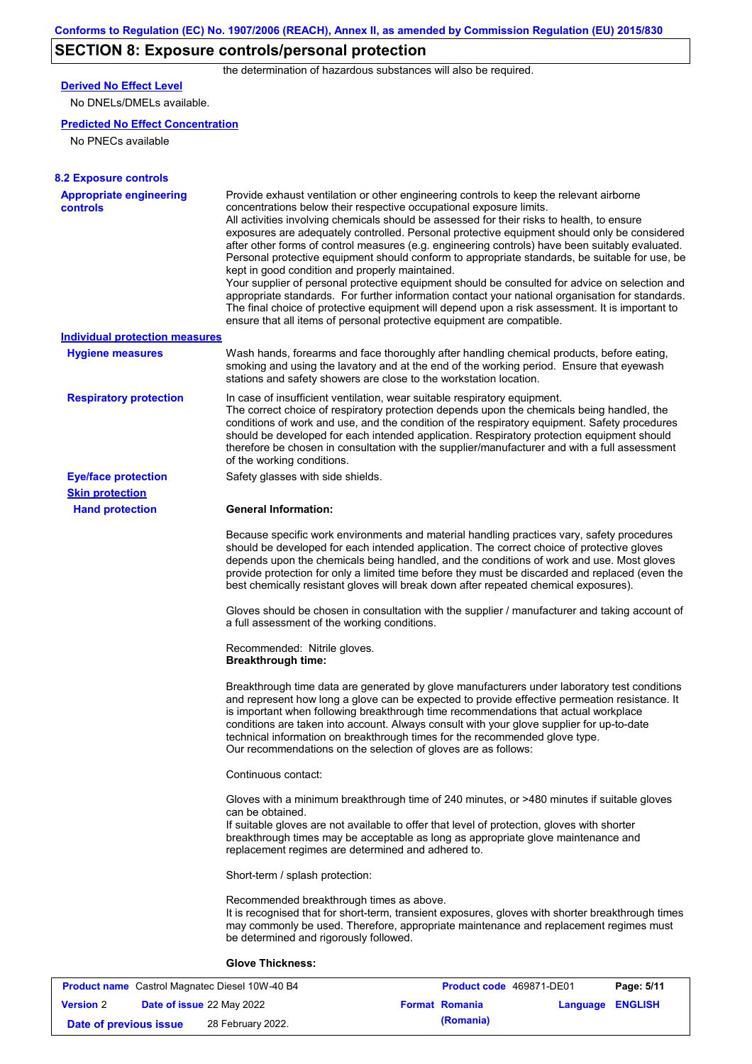# **SECTION 8: Exposure controls/personal protection**

the determination of hazardous substances will also be required.

## **Derived No Effect Level**

No DNELs/DMELs available.

### **Predicted No Effect Concentration**

No PNECs available

| <b>8.2 Exposure controls</b>               |                                                                                                                                                                                                                                                                                                                                                                                                                                                                                                                                                                                                                                                                                                                                                                                                                                                                                                                                                                                                         |
|--------------------------------------------|---------------------------------------------------------------------------------------------------------------------------------------------------------------------------------------------------------------------------------------------------------------------------------------------------------------------------------------------------------------------------------------------------------------------------------------------------------------------------------------------------------------------------------------------------------------------------------------------------------------------------------------------------------------------------------------------------------------------------------------------------------------------------------------------------------------------------------------------------------------------------------------------------------------------------------------------------------------------------------------------------------|
| <b>Appropriate engineering</b><br>controls | Provide exhaust ventilation or other engineering controls to keep the relevant airborne<br>concentrations below their respective occupational exposure limits.<br>All activities involving chemicals should be assessed for their risks to health, to ensure<br>exposures are adequately controlled. Personal protective equipment should only be considered<br>after other forms of control measures (e.g. engineering controls) have been suitably evaluated.<br>Personal protective equipment should conform to appropriate standards, be suitable for use, be<br>kept in good condition and properly maintained.<br>Your supplier of personal protective equipment should be consulted for advice on selection and<br>appropriate standards. For further information contact your national organisation for standards.<br>The final choice of protective equipment will depend upon a risk assessment. It is important to<br>ensure that all items of personal protective equipment are compatible. |
| <b>Individual protection measures</b>      |                                                                                                                                                                                                                                                                                                                                                                                                                                                                                                                                                                                                                                                                                                                                                                                                                                                                                                                                                                                                         |
| <b>Hygiene measures</b>                    | Wash hands, forearms and face thoroughly after handling chemical products, before eating,<br>smoking and using the lavatory and at the end of the working period. Ensure that eyewash<br>stations and safety showers are close to the workstation location.                                                                                                                                                                                                                                                                                                                                                                                                                                                                                                                                                                                                                                                                                                                                             |
| <b>Respiratory protection</b>              | In case of insufficient ventilation, wear suitable respiratory equipment.<br>The correct choice of respiratory protection depends upon the chemicals being handled, the<br>conditions of work and use, and the condition of the respiratory equipment. Safety procedures<br>should be developed for each intended application. Respiratory protection equipment should<br>therefore be chosen in consultation with the supplier/manufacturer and with a full assessment<br>of the working conditions.                                                                                                                                                                                                                                                                                                                                                                                                                                                                                                   |
| <b>Eye/face protection</b>                 | Safety glasses with side shields.                                                                                                                                                                                                                                                                                                                                                                                                                                                                                                                                                                                                                                                                                                                                                                                                                                                                                                                                                                       |
| <b>Skin protection</b>                     |                                                                                                                                                                                                                                                                                                                                                                                                                                                                                                                                                                                                                                                                                                                                                                                                                                                                                                                                                                                                         |
| <b>Hand protection</b>                     | <b>General Information:</b>                                                                                                                                                                                                                                                                                                                                                                                                                                                                                                                                                                                                                                                                                                                                                                                                                                                                                                                                                                             |
|                                            | Because specific work environments and material handling practices vary, safety procedures<br>should be developed for each intended application. The correct choice of protective gloves<br>depends upon the chemicals being handled, and the conditions of work and use. Most gloves<br>provide protection for only a limited time before they must be discarded and replaced (even the<br>best chemically resistant gloves will break down after repeated chemical exposures).                                                                                                                                                                                                                                                                                                                                                                                                                                                                                                                        |
|                                            | Gloves should be chosen in consultation with the supplier / manufacturer and taking account of<br>a full assessment of the working conditions.                                                                                                                                                                                                                                                                                                                                                                                                                                                                                                                                                                                                                                                                                                                                                                                                                                                          |
|                                            | Recommended: Nitrile gloves.<br><b>Breakthrough time:</b>                                                                                                                                                                                                                                                                                                                                                                                                                                                                                                                                                                                                                                                                                                                                                                                                                                                                                                                                               |
|                                            | Breakthrough time data are generated by glove manufacturers under laboratory test conditions<br>and represent how long a glove can be expected to provide effective permeation resistance. It<br>is important when following breakthrough time recommendations that actual workplace<br>conditions are taken into account. Always consult with your glove supplier for up-to-date<br>technical information on breakthrough times for the recommended glove type.<br>Our recommendations on the selection of gloves are as follows:                                                                                                                                                                                                                                                                                                                                                                                                                                                                      |
|                                            | Continuous contact:                                                                                                                                                                                                                                                                                                                                                                                                                                                                                                                                                                                                                                                                                                                                                                                                                                                                                                                                                                                     |
|                                            | Gloves with a minimum breakthrough time of 240 minutes, or >480 minutes if suitable gloves<br>can be obtained.<br>If suitable gloves are not available to offer that level of protection, gloves with shorter<br>breakthrough times may be acceptable as long as appropriate glove maintenance and<br>replacement regimes are determined and adhered to.                                                                                                                                                                                                                                                                                                                                                                                                                                                                                                                                                                                                                                                |
|                                            | Short-term / splash protection:                                                                                                                                                                                                                                                                                                                                                                                                                                                                                                                                                                                                                                                                                                                                                                                                                                                                                                                                                                         |
|                                            | Recommended breakthrough times as above.<br>It is recognised that for short-term, transient exposures, gloves with shorter breakthrough times<br>may commonly be used. Therefore, appropriate maintenance and replacement regimes must<br>be determined and rigorously followed.                                                                                                                                                                                                                                                                                                                                                                                                                                                                                                                                                                                                                                                                                                                        |
|                                            | <b>Glove Thickness:</b>                                                                                                                                                                                                                                                                                                                                                                                                                                                                                                                                                                                                                                                                                                                                                                                                                                                                                                                                                                                 |

| <b>Product name</b> Castrol Magnatec Diesel 10W-40 B4 |  |                                  | Product code 469871-DE01 | Page: 5/11            |                  |  |
|-------------------------------------------------------|--|----------------------------------|--------------------------|-----------------------|------------------|--|
| <b>Version 2</b>                                      |  | <b>Date of issue 22 May 2022</b> |                          | <b>Format Romania</b> | Language ENGLISH |  |
| Date of previous issue                                |  | 28 February 2022.                |                          | (Romania)             |                  |  |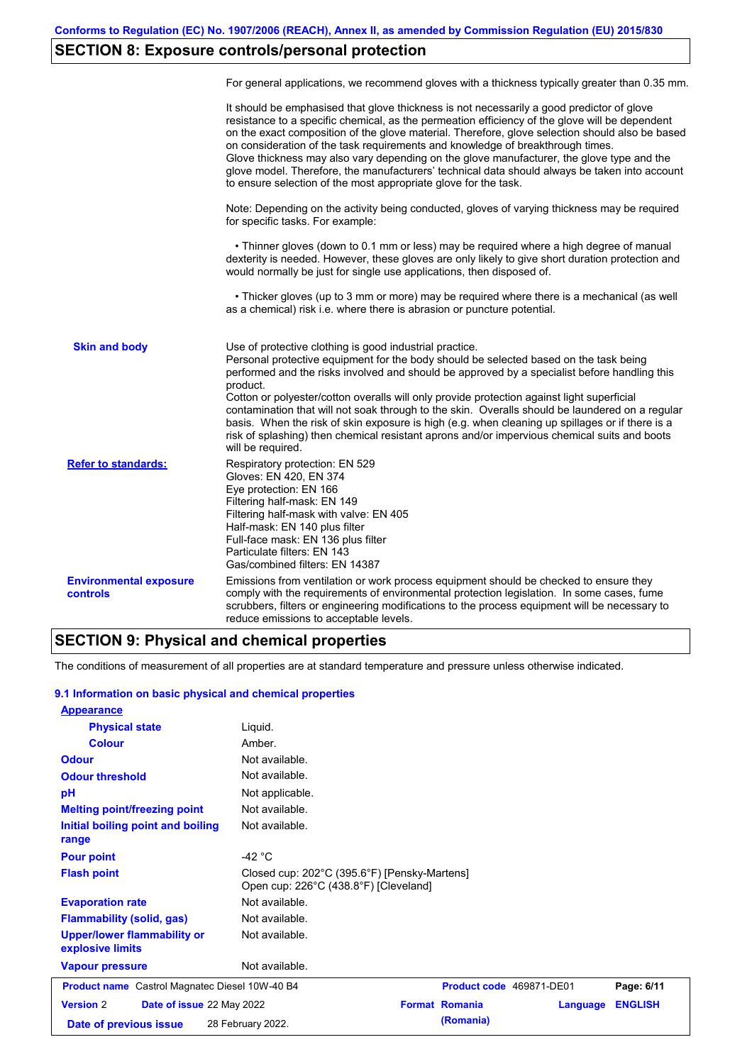# **SECTION 8: Exposure controls/personal protection**

|                                           | For general applications, we recommend gloves with a thickness typically greater than 0.35 mm.                                                                                                                                                                                                                                                                                                                                                                                                                                                                                                                                                                                        |
|-------------------------------------------|---------------------------------------------------------------------------------------------------------------------------------------------------------------------------------------------------------------------------------------------------------------------------------------------------------------------------------------------------------------------------------------------------------------------------------------------------------------------------------------------------------------------------------------------------------------------------------------------------------------------------------------------------------------------------------------|
|                                           | It should be emphasised that glove thickness is not necessarily a good predictor of glove<br>resistance to a specific chemical, as the permeation efficiency of the glove will be dependent<br>on the exact composition of the glove material. Therefore, glove selection should also be based<br>on consideration of the task requirements and knowledge of breakthrough times.<br>Glove thickness may also vary depending on the glove manufacturer, the glove type and the<br>glove model. Therefore, the manufacturers' technical data should always be taken into account<br>to ensure selection of the most appropriate glove for the task.                                     |
|                                           | Note: Depending on the activity being conducted, gloves of varying thickness may be required<br>for specific tasks. For example:                                                                                                                                                                                                                                                                                                                                                                                                                                                                                                                                                      |
|                                           | • Thinner gloves (down to 0.1 mm or less) may be required where a high degree of manual<br>dexterity is needed. However, these gloves are only likely to give short duration protection and<br>would normally be just for single use applications, then disposed of.                                                                                                                                                                                                                                                                                                                                                                                                                  |
|                                           | • Thicker gloves (up to 3 mm or more) may be required where there is a mechanical (as well<br>as a chemical) risk i.e. where there is abrasion or puncture potential.                                                                                                                                                                                                                                                                                                                                                                                                                                                                                                                 |
| <b>Skin and body</b>                      | Use of protective clothing is good industrial practice.<br>Personal protective equipment for the body should be selected based on the task being<br>performed and the risks involved and should be approved by a specialist before handling this<br>product.<br>Cotton or polyester/cotton overalls will only provide protection against light superficial<br>contamination that will not soak through to the skin. Overalls should be laundered on a regular<br>basis. When the risk of skin exposure is high (e.g. when cleaning up spillages or if there is a<br>risk of splashing) then chemical resistant aprons and/or impervious chemical suits and boots<br>will be required. |
| <b>Refer to standards:</b>                | Respiratory protection: EN 529<br>Gloves: EN 420, EN 374<br>Eye protection: EN 166<br>Filtering half-mask: EN 149<br>Filtering half-mask with valve: EN 405<br>Half-mask: EN 140 plus filter<br>Full-face mask: EN 136 plus filter<br>Particulate filters: EN 143<br>Gas/combined filters: EN 14387                                                                                                                                                                                                                                                                                                                                                                                   |
| <b>Environmental exposure</b><br>controls | Emissions from ventilation or work process equipment should be checked to ensure they<br>comply with the requirements of environmental protection legislation. In some cases, fume<br>scrubbers, filters or engineering modifications to the process equipment will be necessary to<br>reduce emissions to acceptable levels.                                                                                                                                                                                                                                                                                                                                                         |

## **SECTION 9: Physical and chemical properties**

The conditions of measurement of all properties are at standard temperature and pressure unless otherwise indicated.

### **9.1 Information on basic physical and chemical properties**

| <b>Appearance</b>                                      |                                                                                       |                       |                          |                |
|--------------------------------------------------------|---------------------------------------------------------------------------------------|-----------------------|--------------------------|----------------|
| <b>Physical state</b>                                  | Liquid.                                                                               |                       |                          |                |
| <b>Colour</b>                                          | Amber.                                                                                |                       |                          |                |
| <b>Odour</b>                                           | Not available.                                                                        |                       |                          |                |
| <b>Odour threshold</b>                                 | Not available.                                                                        |                       |                          |                |
| pH                                                     | Not applicable.                                                                       |                       |                          |                |
| <b>Melting point/freezing point</b>                    | Not available.                                                                        |                       |                          |                |
| Initial boiling point and boiling<br>range             | Not available.                                                                        |                       |                          |                |
| <b>Pour point</b>                                      | -42 $^{\circ}$ C                                                                      |                       |                          |                |
| <b>Flash point</b>                                     | Closed cup: 202°C (395.6°F) [Pensky-Martens]<br>Open cup: 226°C (438.8°F) [Cleveland] |                       |                          |                |
| <b>Evaporation rate</b>                                | Not available.                                                                        |                       |                          |                |
| <b>Flammability (solid, gas)</b>                       | Not available.                                                                        |                       |                          |                |
| <b>Upper/lower flammability or</b><br>explosive limits | Not available.                                                                        |                       |                          |                |
| <b>Vapour pressure</b>                                 | Not available.                                                                        |                       |                          |                |
| <b>Product name</b> Castrol Magnatec Diesel 10W-40 B4  |                                                                                       |                       | Product code 469871-DE01 | Page: 6/11     |
| <b>Version 2</b><br>Date of issue 22 May 2022          |                                                                                       | <b>Format Romania</b> | <b>Language</b>          | <b>ENGLISH</b> |
| Date of previous issue                                 | 28 February 2022.                                                                     | (Romania)             |                          |                |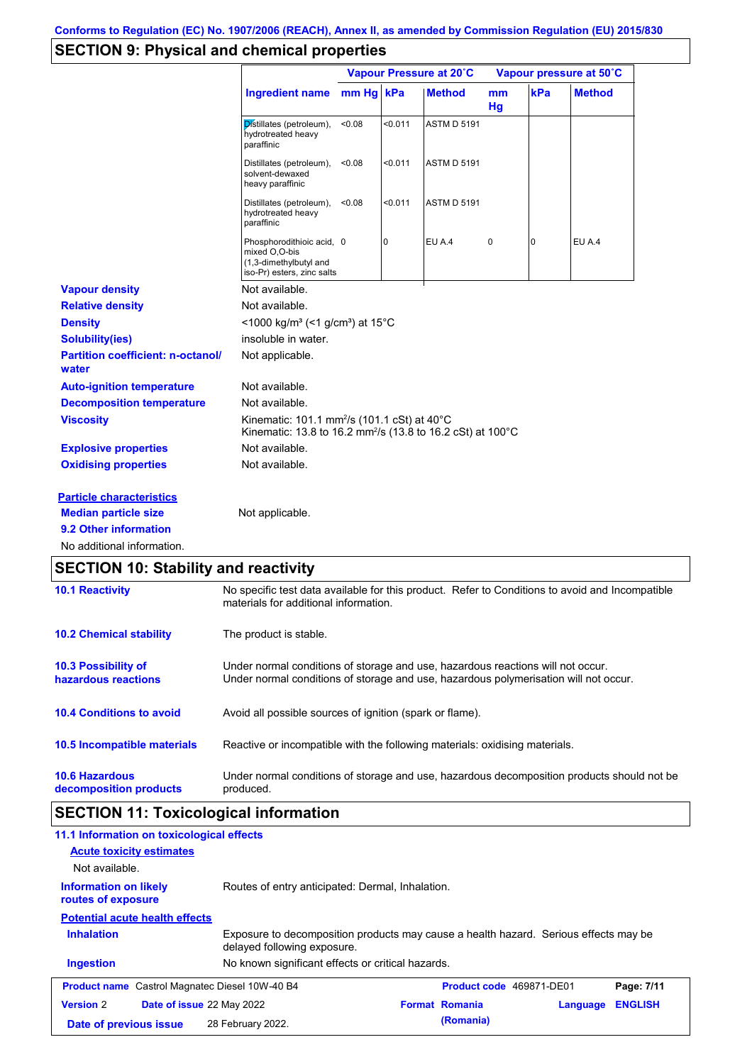# **SECTION 9: Physical and chemical properties**

|                                                   |                                                                                                                                          | Vapour Pressure at 20°C |         |                    | Vapour pressure at 50°C |     |               |
|---------------------------------------------------|------------------------------------------------------------------------------------------------------------------------------------------|-------------------------|---------|--------------------|-------------------------|-----|---------------|
|                                                   | <b>Ingredient name</b>                                                                                                                   | mm Hg kPa               |         | <b>Method</b>      | mm<br>Hg                | kPa | <b>Method</b> |
|                                                   | Distillates (petroleum),<br>hydrotreated heavy<br>paraffinic                                                                             | < 0.08                  | < 0.011 | <b>ASTM D 5191</b> |                         |     |               |
|                                                   | Distillates (petroleum),<br>solvent-dewaxed<br>heavy paraffinic                                                                          | < 0.08                  | < 0.011 | <b>ASTM D 5191</b> |                         |     |               |
|                                                   | Distillates (petroleum),<br>hydrotreated heavy<br>paraffinic                                                                             | < 0.08                  | < 0.011 | <b>ASTM D 5191</b> |                         |     |               |
|                                                   | Phosphorodithioic acid, 0<br>mixed O,O-bis<br>(1,3-dimethylbutyl and<br>iso-Pr) esters, zinc salts                                       |                         | 0       | EU A.4             | 0                       | 0   | EU A.4        |
| <b>Vapour density</b>                             | Not available.                                                                                                                           |                         |         |                    |                         |     |               |
| <b>Relative density</b>                           | Not available.                                                                                                                           |                         |         |                    |                         |     |               |
| <b>Density</b>                                    | <1000 kg/m <sup>3</sup> (<1 g/cm <sup>3</sup> ) at 15 <sup>°</sup> C                                                                     |                         |         |                    |                         |     |               |
| <b>Solubility(ies)</b>                            | insoluble in water.                                                                                                                      |                         |         |                    |                         |     |               |
| <b>Partition coefficient: n-octanol/</b><br>water | Not applicable.                                                                                                                          |                         |         |                    |                         |     |               |
| <b>Auto-ignition temperature</b>                  | Not available.                                                                                                                           |                         |         |                    |                         |     |               |
| <b>Decomposition temperature</b>                  | Not available.                                                                                                                           |                         |         |                    |                         |     |               |
| <b>Viscosity</b>                                  | Kinematic: 101.1 mm <sup>2</sup> /s (101.1 cSt) at 40°C<br>Kinematic: 13.8 to 16.2 mm <sup>2</sup> /s (13.8 to 16.2 cSt) at 100°C        |                         |         |                    |                         |     |               |
| <b>Explosive properties</b>                       | Not available.                                                                                                                           |                         |         |                    |                         |     |               |
| <b>Oxidising properties</b>                       | Not available.                                                                                                                           |                         |         |                    |                         |     |               |
| <b>Particle characteristics</b>                   |                                                                                                                                          |                         |         |                    |                         |     |               |
| <b>Median particle size</b>                       | Not applicable.                                                                                                                          |                         |         |                    |                         |     |               |
| 9.2 Other information                             |                                                                                                                                          |                         |         |                    |                         |     |               |
| No additional information.                        |                                                                                                                                          |                         |         |                    |                         |     |               |
| <b>SECTION 10: Stability and reactivity</b>       |                                                                                                                                          |                         |         |                    |                         |     |               |
| <b>10.1 Reactivity</b>                            | No specific test data available for this product. Refer to Conditions to avoid and Incompatible<br>materials for additional information. |                         |         |                    |                         |     |               |

| <b>10.2 Chemical stability</b>                    | The product is stable.                                                                                                                                                  |
|---------------------------------------------------|-------------------------------------------------------------------------------------------------------------------------------------------------------------------------|
| <b>10.3 Possibility of</b><br>hazardous reactions | Under normal conditions of storage and use, hazardous reactions will not occur.<br>Under normal conditions of storage and use, hazardous polymerisation will not occur. |
| <b>10.4 Conditions to avoid</b>                   | Avoid all possible sources of ignition (spark or flame).                                                                                                                |
| 10.5 Incompatible materials                       | Reactive or incompatible with the following materials: oxidising materials.                                                                                             |
| <b>10.6 Hazardous</b><br>decomposition products   | Under normal conditions of storage and use, hazardous decomposition products should not be<br>produced.                                                                 |

# **SECTION 11: Toxicological information**

| 11.1 Information on toxicological effects<br><b>Acute toxicity estimates</b>                           |                                                                                                                     |  |                          |          |                |
|--------------------------------------------------------------------------------------------------------|---------------------------------------------------------------------------------------------------------------------|--|--------------------------|----------|----------------|
| Not available.                                                                                         |                                                                                                                     |  |                          |          |                |
| Routes of entry anticipated: Dermal, Inhalation.<br><b>Information on likely</b><br>routes of exposure |                                                                                                                     |  |                          |          |                |
| <b>Potential acute health effects</b>                                                                  |                                                                                                                     |  |                          |          |                |
| <b>Inhalation</b>                                                                                      | Exposure to decomposition products may cause a health hazard. Serious effects may be<br>delayed following exposure. |  |                          |          |                |
| <b>Ingestion</b>                                                                                       | No known significant effects or critical hazards.                                                                   |  |                          |          |                |
| <b>Product name</b> Castrol Magnatec Diesel 10W-40 B4                                                  |                                                                                                                     |  | Product code 469871-DE01 |          | Page: 7/11     |
| <b>Version 2</b><br><b>Date of issue 22 May 2022</b>                                                   |                                                                                                                     |  | <b>Format Romania</b>    | Language | <b>ENGLISH</b> |
| Date of previous issue                                                                                 | 28 February 2022.                                                                                                   |  | (Romania)                |          |                |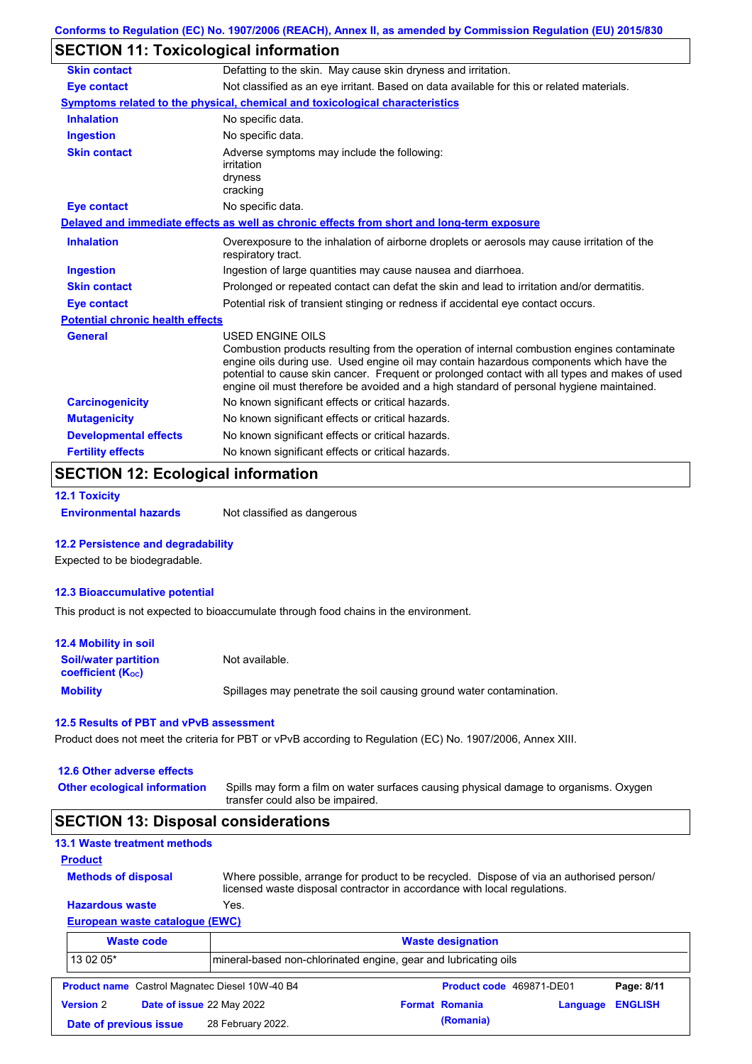## **SECTION 11: Toxicological information**

| <b>Skin contact</b>                     | Defatting to the skin. May cause skin dryness and irritation.                                                                                                                                                                                                                                                                                                                                            |  |  |  |  |
|-----------------------------------------|----------------------------------------------------------------------------------------------------------------------------------------------------------------------------------------------------------------------------------------------------------------------------------------------------------------------------------------------------------------------------------------------------------|--|--|--|--|
| <b>Eye contact</b>                      | Not classified as an eye irritant. Based on data available for this or related materials.                                                                                                                                                                                                                                                                                                                |  |  |  |  |
|                                         | <b>Symptoms related to the physical, chemical and toxicological characteristics</b>                                                                                                                                                                                                                                                                                                                      |  |  |  |  |
| <b>Inhalation</b>                       | No specific data.                                                                                                                                                                                                                                                                                                                                                                                        |  |  |  |  |
| <b>Ingestion</b>                        | No specific data.                                                                                                                                                                                                                                                                                                                                                                                        |  |  |  |  |
| <b>Skin contact</b>                     | Adverse symptoms may include the following:<br>irritation<br>dryness<br>cracking                                                                                                                                                                                                                                                                                                                         |  |  |  |  |
| <b>Eye contact</b>                      | No specific data.                                                                                                                                                                                                                                                                                                                                                                                        |  |  |  |  |
|                                         | Delayed and immediate effects as well as chronic effects from short and long-term exposure                                                                                                                                                                                                                                                                                                               |  |  |  |  |
| <b>Inhalation</b>                       | Overexposure to the inhalation of airborne droplets or aerosols may cause irritation of the<br>respiratory tract.                                                                                                                                                                                                                                                                                        |  |  |  |  |
| <b>Ingestion</b>                        | Ingestion of large quantities may cause nausea and diarrhoea.                                                                                                                                                                                                                                                                                                                                            |  |  |  |  |
| <b>Skin contact</b>                     | Prolonged or repeated contact can defat the skin and lead to irritation and/or dermatitis.                                                                                                                                                                                                                                                                                                               |  |  |  |  |
| Eye contact                             | Potential risk of transient stinging or redness if accidental eye contact occurs.                                                                                                                                                                                                                                                                                                                        |  |  |  |  |
| <b>Potential chronic health effects</b> |                                                                                                                                                                                                                                                                                                                                                                                                          |  |  |  |  |
| <b>General</b>                          | USED ENGINE OILS<br>Combustion products resulting from the operation of internal combustion engines contaminate<br>engine oils during use. Used engine oil may contain hazardous components which have the<br>potential to cause skin cancer. Frequent or prolonged contact with all types and makes of used<br>engine oil must therefore be avoided and a high standard of personal hygiene maintained. |  |  |  |  |
| <b>Carcinogenicity</b>                  | No known significant effects or critical hazards.                                                                                                                                                                                                                                                                                                                                                        |  |  |  |  |
| <b>Mutagenicity</b>                     | No known significant effects or critical hazards.                                                                                                                                                                                                                                                                                                                                                        |  |  |  |  |
| <b>Developmental effects</b>            | No known significant effects or critical hazards.                                                                                                                                                                                                                                                                                                                                                        |  |  |  |  |
| <b>Fertility effects</b>                | No known significant effects or critical hazards.                                                                                                                                                                                                                                                                                                                                                        |  |  |  |  |

## **SECTION 12: Ecological information**

```
12.1 Toxicity
```
**Environmental hazards** Not classified as dangerous

#### **12.2 Persistence and degradability**

Expected to be biodegradable.

#### **12.3 Bioaccumulative potential**

This product is not expected to bioaccumulate through food chains in the environment.

| 12.4 Mobility in soil                                         |                                                                      |
|---------------------------------------------------------------|----------------------------------------------------------------------|
| <b>Soil/water partition</b><br>coefficient (K <sub>oc</sub> ) | Not available.                                                       |
| <b>Mobility</b>                                               | Spillages may penetrate the soil causing ground water contamination. |

#### **12.5 Results of PBT and vPvB assessment**

Product does not meet the criteria for PBT or vPvB according to Regulation (EC) No. 1907/2006, Annex XIII.

### **12.6 Other adverse effects**

Spills may form a film on water surfaces causing physical damage to organisms. Oxygen transfer could also be impaired. **Other ecological information**

## **SECTION 13: Disposal considerations**

|                | <b>13.1 Waste treatment methods</b> |
|----------------|-------------------------------------|
| <b>Product</b> |                                     |

**Methods of disposal**

Where possible, arrange for product to be recycled. Dispose of via an authorised person/ licensed waste disposal contractor in accordance with local regulations.

### **European waste catalogue (EWC) Hazardous waste** Yes.

|                  | <b>Waste code</b>         |                                                                 | <b>Waste designation</b> |                          |          |                |  |  |
|------------------|---------------------------|-----------------------------------------------------------------|--------------------------|--------------------------|----------|----------------|--|--|
| 13 02 05*        |                           | mineral-based non-chlorinated engine, gear and lubricating oils |                          |                          |          |                |  |  |
|                  |                           | <b>Product name</b> Castrol Magnatec Diesel 10W-40 B4           |                          | Product code 469871-DE01 |          | Page: 8/11     |  |  |
| <b>Version 2</b> | Date of issue 22 May 2022 |                                                                 |                          | <b>Format Romania</b>    | Language | <b>ENGLISH</b> |  |  |
|                  | Date of previous issue    | 28 February 2022.                                               |                          | (Romania)                |          |                |  |  |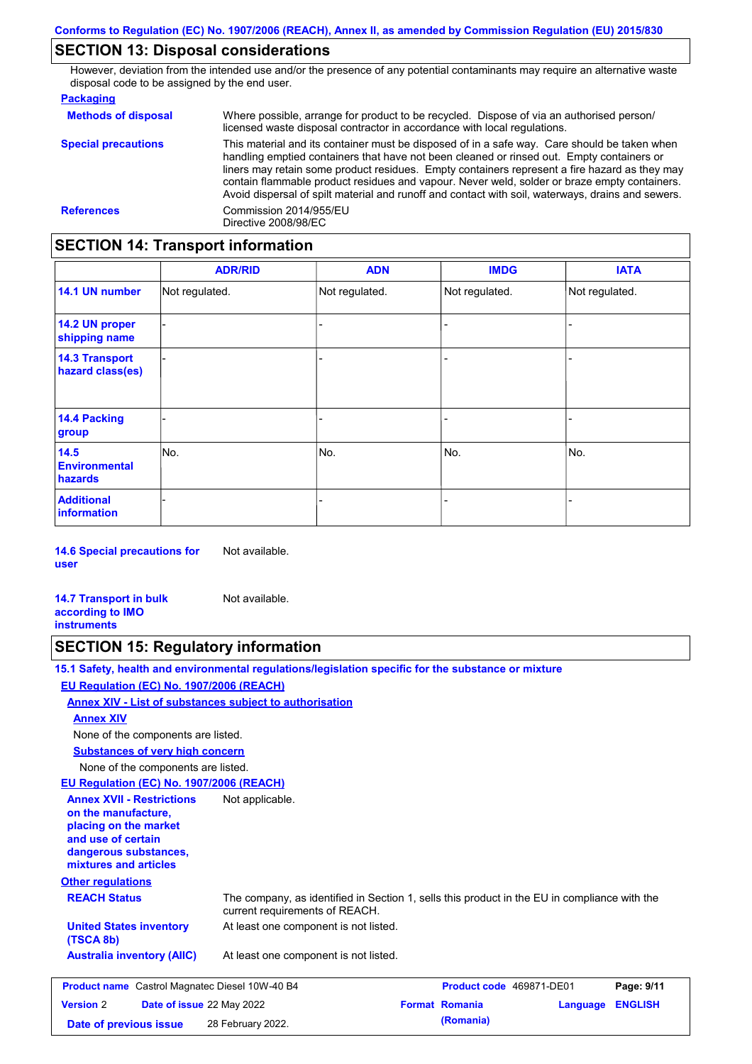## **SECTION 13: Disposal considerations**

However, deviation from the intended use and/or the presence of any potential contaminants may require an alternative waste disposal code to be assigned by the end user.

#### **Packaging**

| <b>Methods of disposal</b> | Where possible, arrange for product to be recycled. Dispose of via an authorised person/<br>licensed waste disposal contractor in accordance with local regulations.                                                                                                                                                                                                                                                                                                                            |
|----------------------------|-------------------------------------------------------------------------------------------------------------------------------------------------------------------------------------------------------------------------------------------------------------------------------------------------------------------------------------------------------------------------------------------------------------------------------------------------------------------------------------------------|
| <b>Special precautions</b> | This material and its container must be disposed of in a safe way. Care should be taken when<br>handling emptied containers that have not been cleaned or rinsed out. Empty containers or<br>liners may retain some product residues. Empty containers represent a fire hazard as they may<br>contain flammable product residues and vapour. Never weld, solder or braze empty containers.<br>Avoid dispersal of spilt material and runoff and contact with soil, waterways, drains and sewers. |
| <b>References</b>          | Commission 2014/955/EU<br>Directive 2008/98/EC                                                                                                                                                                                                                                                                                                                                                                                                                                                  |

## **SECTION 14: Transport information**

|                                           | <b>ADR/RID</b> | <b>ADN</b>     | <b>IMDG</b>    | <b>IATA</b>    |
|-------------------------------------------|----------------|----------------|----------------|----------------|
| 14.1 UN number                            | Not regulated. | Not regulated. | Not regulated. | Not regulated. |
| 14.2 UN proper<br>shipping name           |                |                | -              |                |
| <b>14.3 Transport</b><br>hazard class(es) |                |                | -              |                |
| <b>14.4 Packing</b><br>group              |                |                | -              |                |
| 14.5<br><b>Environmental</b><br>hazards   | No.            | No.            | No.            | No.            |
| <b>Additional</b><br><b>information</b>   |                |                |                |                |

**14.6 Special precautions for user** Not available.

| <b>14.7 Transport in bulk</b> | Not available. |
|-------------------------------|----------------|
| according to <b>IMO</b>       |                |
| <b>instruments</b>            |                |

### **SECTION 15: Regulatory information**

**15.1 Safety, health and environmental regulations/legislation specific for the substance or mixture**

#### **Other regulations REACH Status** The company, as identified in Section 1, sells this product in the EU in compliance with the current requirements of REACH. **EU Regulation (EC) No. 1907/2006 (REACH) Annex XIV - List of substances subject to authorisation Substances of very high concern** None of the components are listed. At least one component is not listed. **United States inventory** At least one component is not listed. **(TSCA 8b) Australia inventory (AIIC)** None of the components are listed. **Annex XIV EU Regulation (EC) No. 1907/2006 (REACH) Annex XVII - Restrictions on the manufacture, placing on the market and use of certain dangerous substances, mixtures and articles** Not applicable. **Product name** Castrol Magnatec Diesel 10W-40 B4 **Product Code 469871-DE01 Page: 9/11 Version** 2 **Date of issue** 22 May 2022 **Format Romania Language ENGLISH Date of previous issue (Romania)** 28 February 2022.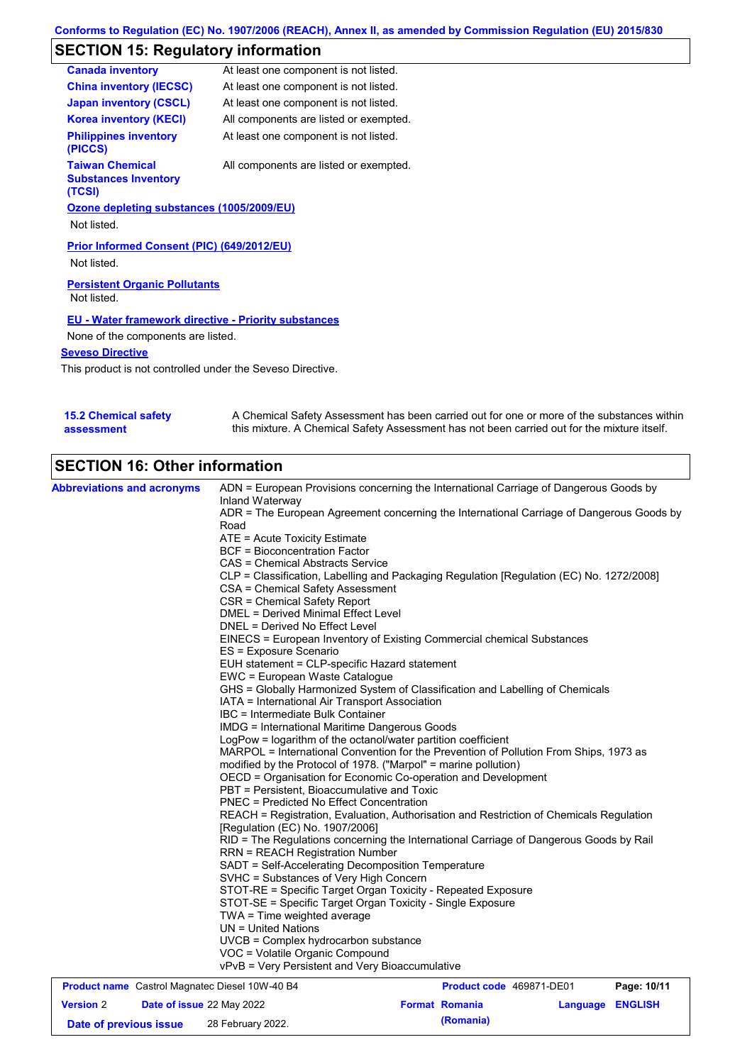## **SECTION 15: Regulatory information**

| <b>Canada inventory</b>                                          | At least one component is not listed.  |
|------------------------------------------------------------------|----------------------------------------|
| <b>China inventory (IECSC)</b>                                   | At least one component is not listed.  |
| <b>Japan inventory (CSCL)</b>                                    | At least one component is not listed.  |
| <b>Korea inventory (KECI)</b>                                    | All components are listed or exempted. |
| <b>Philippines inventory</b><br>(PICCS)                          | At least one component is not listed.  |
| <b>Taiwan Chemical</b><br><b>Substances Inventory</b><br>(TCSI)  | All components are listed or exempted. |
| Ozone depleting substances (1005/2009/EU)<br>Not listed.         |                                        |
| <b>Prior Informed Consent (PIC) (649/2012/EU)</b><br>Not listed. |                                        |
| <b>Persistent Organic Pollutants</b><br>Not listed.              |                                        |
| <b>EU - Water framework directive - Priority substances</b>      |                                        |
| None of the components are listed.                               |                                        |
| <b>Seveso Directive</b>                                          |                                        |

This product is not controlled under the Seveso Directive.

| <b>15.2 Chemical safety</b> | A Chemical Safety Assessment has been carried out for one or more of the substances within  |
|-----------------------------|---------------------------------------------------------------------------------------------|
| assessment                  | this mixture. A Chemical Safety Assessment has not been carried out for the mixture itself. |

# **SECTION 16: Other information**

| <b>Abbreviations and acronyms</b>                     | ADN = European Provisions concerning the International Carriage of Dangerous Goods by                                                                    |                          |             |
|-------------------------------------------------------|----------------------------------------------------------------------------------------------------------------------------------------------------------|--------------------------|-------------|
|                                                       | Inland Waterway                                                                                                                                          |                          |             |
|                                                       | ADR = The European Agreement concerning the International Carriage of Dangerous Goods by                                                                 |                          |             |
|                                                       | Road                                                                                                                                                     |                          |             |
|                                                       | ATE = Acute Toxicity Estimate                                                                                                                            |                          |             |
|                                                       | <b>BCF</b> = Bioconcentration Factor                                                                                                                     |                          |             |
|                                                       | CAS = Chemical Abstracts Service                                                                                                                         |                          |             |
|                                                       | CLP = Classification, Labelling and Packaging Regulation [Regulation (EC) No. 1272/2008]                                                                 |                          |             |
|                                                       | CSA = Chemical Safety Assessment                                                                                                                         |                          |             |
|                                                       | CSR = Chemical Safety Report                                                                                                                             |                          |             |
|                                                       | <b>DMEL = Derived Minimal Effect Level</b>                                                                                                               |                          |             |
|                                                       | DNEL = Derived No Effect Level                                                                                                                           |                          |             |
|                                                       | EINECS = European Inventory of Existing Commercial chemical Substances                                                                                   |                          |             |
|                                                       | ES = Exposure Scenario                                                                                                                                   |                          |             |
|                                                       | EUH statement = CLP-specific Hazard statement                                                                                                            |                          |             |
|                                                       | EWC = European Waste Catalogue                                                                                                                           |                          |             |
|                                                       | GHS = Globally Harmonized System of Classification and Labelling of Chemicals                                                                            |                          |             |
|                                                       | IATA = International Air Transport Association                                                                                                           |                          |             |
|                                                       | IBC = Intermediate Bulk Container                                                                                                                        |                          |             |
|                                                       | IMDG = International Maritime Dangerous Goods                                                                                                            |                          |             |
|                                                       | LogPow = logarithm of the octanol/water partition coefficient                                                                                            |                          |             |
|                                                       | MARPOL = International Convention for the Prevention of Pollution From Ships, 1973 as<br>modified by the Protocol of 1978. ("Marpol" = marine pollution) |                          |             |
|                                                       | OECD = Organisation for Economic Co-operation and Development                                                                                            |                          |             |
|                                                       | PBT = Persistent, Bioaccumulative and Toxic                                                                                                              |                          |             |
|                                                       | <b>PNEC</b> = Predicted No Effect Concentration                                                                                                          |                          |             |
|                                                       | REACH = Registration, Evaluation, Authorisation and Restriction of Chemicals Regulation                                                                  |                          |             |
|                                                       | [Regulation (EC) No. 1907/2006]                                                                                                                          |                          |             |
|                                                       | RID = The Regulations concerning the International Carriage of Dangerous Goods by Rail<br><b>RRN = REACH Registration Number</b>                         |                          |             |
|                                                       | SADT = Self-Accelerating Decomposition Temperature                                                                                                       |                          |             |
|                                                       | SVHC = Substances of Very High Concern                                                                                                                   |                          |             |
|                                                       | STOT-RE = Specific Target Organ Toxicity - Repeated Exposure                                                                                             |                          |             |
|                                                       | STOT-SE = Specific Target Organ Toxicity - Single Exposure                                                                                               |                          |             |
|                                                       | $TWA = Time weighted average$                                                                                                                            |                          |             |
|                                                       | $UN = United Nations$                                                                                                                                    |                          |             |
|                                                       | UVCB = Complex hydrocarbon substance                                                                                                                     |                          |             |
|                                                       | VOC = Volatile Organic Compound                                                                                                                          |                          |             |
|                                                       | vPvB = Very Persistent and Very Bioaccumulative                                                                                                          |                          |             |
|                                                       |                                                                                                                                                          |                          |             |
| <b>Product name</b> Castrol Magnatec Diesel 10W-40 B4 |                                                                                                                                                          | Product code 469871-DE01 | Page: 10/11 |

|                        | <b>Product name</b> Castrol Magnated Diesel T0W-40 B4 |                       | <b>Product code</b> 4090/1-DEVI | Page: 10/11 |
|------------------------|-------------------------------------------------------|-----------------------|---------------------------------|-------------|
| <b>Version 2</b>       | <b>Date of issue 22 May 2022</b>                      | <b>Format Romania</b> | Language ENGLISH                |             |
| Date of previous issue | 28 February 2022.                                     | (Romania)             |                                 |             |